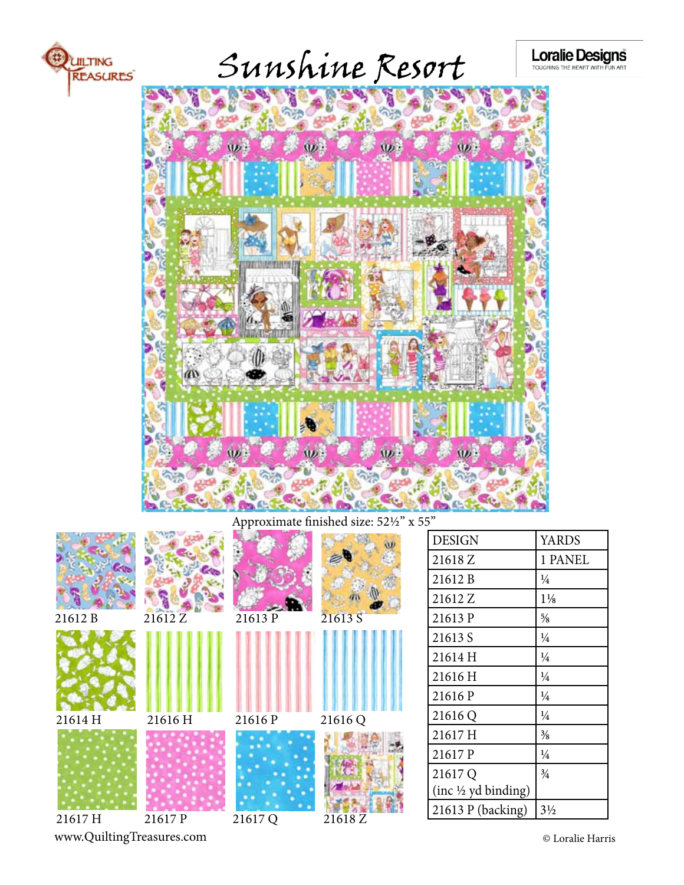

Sunshine Resort

Loralie Designs



Approximate finished size: 52½" x 55"



| 21612 B                        | $\frac{1}{4}$  |
|--------------------------------|----------------|
| 21612 Z                        | $1\frac{1}{8}$ |
| 21613 P                        | $\frac{5}{8}$  |
| 21613 S                        | $\frac{1}{4}$  |
| 21614 H                        | $\frac{1}{4}$  |
| 21616 H                        | $\frac{1}{4}$  |
| 21616 P                        | $\frac{1}{4}$  |
| 21616 Q                        | $\frac{1}{4}$  |
| 21617 H                        | $\frac{3}{8}$  |
| 21617 P                        | $\frac{1}{4}$  |
| 21617 Q                        | $\frac{3}{4}$  |
| $(inc \frac{1}{2} yd binding)$ |                |
| $21613 P$ (backing)            | $3\frac{1}{2}$ |

DESIGN YARDS 21618 Z 1 PANEL

www.QuiltingTreasures.com © Loralie Harris